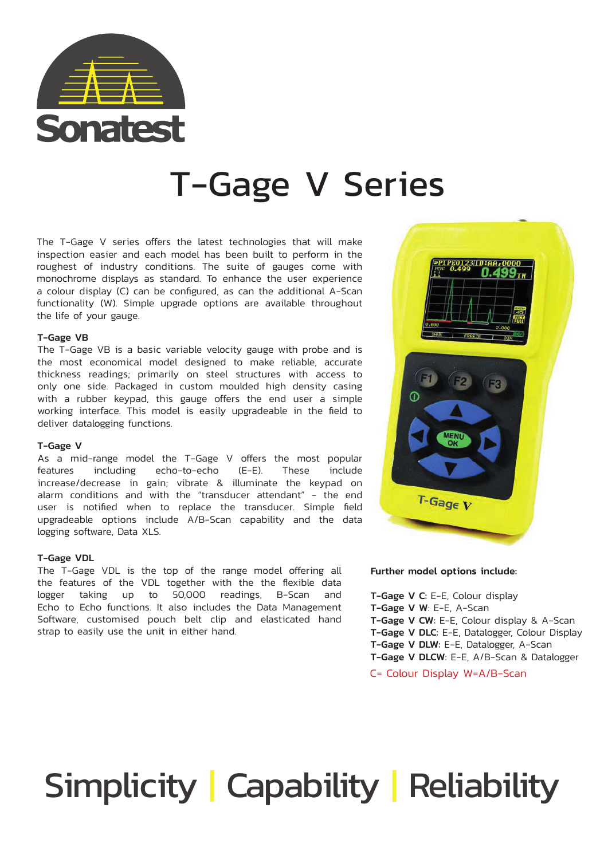

## T-Gage V Series

The T-Gage V series offers the latest technologies that will make inspection easier and each model has been built to perform in the roughest of industry conditions. The suite of gauges come with monochrome displays as standard. To enhance the user experience a colour display (C) can be configured, as can the additional A-Scan functionality (W). Simple upgrade options are available throughout the life of your gauge.

### T-Gage VB

The T-Gage VB is a basic variable velocity gauge with probe and is the most economical model designed to make reliable, accurate thickness readings; primarily on steel structures with access to only one side. Packaged in custom moulded high density casing with a rubber keypad, this gauge offers the end user a simple working interface. This model is easily upgradeable in the field to deliver datalogging functions.

### T-Gage V

As a mid-range model the T-Gage V offers the most popular features including echo-to-echo (E-E). These include increase/decrease in gain; vibrate & illuminate the keypad on alarm conditions and with the "transducer attendant" - the end user is notified when to replace the transducer. Simple field upgradeable options include A/B-Scan capability and the data logging software, Data XLS.

### T-Gage VDL

The T-Gage VDL is the top of the range model offering all the features of the VDL together with the the flexible data logger taking up to 50,000 readings, B-Scan and Echo to Echo functions. It also includes the Data Management Software, customised pouch belt clip and elasticated hand strap to easily use the unit in either hand.



### Further model options include:

T-Gage V C: E-E, Colour display T-Gage V W: E-E, A-Scan T-Gage V CW: E-E, Colour display & A-Scan T-Gage V DLC: E-E, Datalogger, Colour Display T-Gage V DLW: E-E, Datalogger, A-Scan T-Gage V DLCW: E-E, A/B-Scan & Datalogger

C= Colour Display W=A/B-Scan

# Simplicity | Capability | Reliability